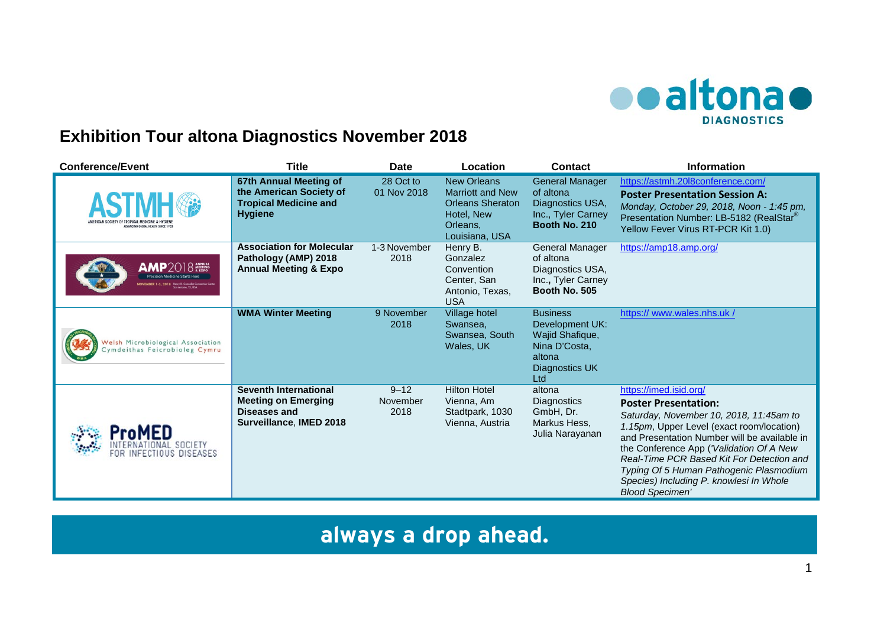

## **Exhibition Tour altona Diagnostics November 2018**

| <b>Conference/Event</b>                                            | <b>Title</b>                                                                                        | <b>Date</b>                  | Location                                                                                                             | <b>Contact</b>                                                                                            | <b>Information</b>                                                                                                                                                                                                                                                                                                                                                                                     |
|--------------------------------------------------------------------|-----------------------------------------------------------------------------------------------------|------------------------------|----------------------------------------------------------------------------------------------------------------------|-----------------------------------------------------------------------------------------------------------|--------------------------------------------------------------------------------------------------------------------------------------------------------------------------------------------------------------------------------------------------------------------------------------------------------------------------------------------------------------------------------------------------------|
| <b>DUMING GLOBAL HEALTH SINCE 198</b>                              | 67th Annual Meeting of<br>the American Society of<br><b>Tropical Medicine and</b><br><b>Hygiene</b> | 28 Oct to<br>01 Nov 2018     | <b>New Orleans</b><br><b>Marriott and New</b><br><b>Orleans Sheraton</b><br>Hotel, New<br>Orleans.<br>Louisiana, USA | <b>General Manager</b><br>of altona<br>Diagnostics USA,<br>Inc., Tyler Carney<br>Booth No. 210            | https://astmh.20l8conference.com/<br><b>Poster Presentation Session A:</b><br>Monday, October 29, 2018, Noon - 1:45 pm,<br>Presentation Number: LB-5182 (RealStar®)<br>Yellow Fever Virus RT-PCR Kit 1.0)                                                                                                                                                                                              |
| AMP2018<br><b>Precision Medicine Starts Here</b>                   | <b>Association for Molecular</b><br>Pathology (AMP) 2018<br><b>Annual Meeting &amp; Expo</b>        | 1-3 November<br>2018         | Henry B.<br>Gonzalez<br>Convention<br>Center, San<br>Antonio, Texas,<br><b>USA</b>                                   | General Manager<br>of altona<br>Diagnostics USA,<br>Inc., Tyler Carney<br>Booth No. 505                   | https://amp18.amp.org/                                                                                                                                                                                                                                                                                                                                                                                 |
| Welsh Microbiological Association<br>Cymdeithas Feicrobioleg Cymru | <b>WMA Winter Meeting</b>                                                                           | 9 November<br>2018           | Village hotel<br>Swansea,<br>Swansea, South<br>Wales, UK                                                             | <b>Business</b><br>Development UK:<br>Wajid Shafique,<br>Nina D'Costa,<br>altona<br>Diagnostics UK<br>Ltd | https:// www.wales.nhs.uk /                                                                                                                                                                                                                                                                                                                                                                            |
| INFECTIOUS DISEASES                                                | Seventh International<br><b>Meeting on Emerging</b><br>Diseases and<br>Surveillance, IMED 2018      | $9 - 12$<br>November<br>2018 | <b>Hilton Hotel</b><br>Vienna, Am<br>Stadtpark, 1030<br>Vienna, Austria                                              | altona<br>Diagnostics<br>GmbH, Dr.<br>Markus Hess,<br>Julia Narayanan                                     | https://imed.isid.org/<br><b>Poster Presentation:</b><br>Saturday, November 10, 2018, 11:45am to<br>1.15pm, Upper Level (exact room/location)<br>and Presentation Number will be available in<br>the Conference App ('Validation Of A New<br>Real-Time PCR Based Kit For Detection and<br>Typing Of 5 Human Pathogenic Plasmodium<br>Species) Including P. knowlesi In Whole<br><b>Blood Specimen'</b> |

**always a drop ahead.**